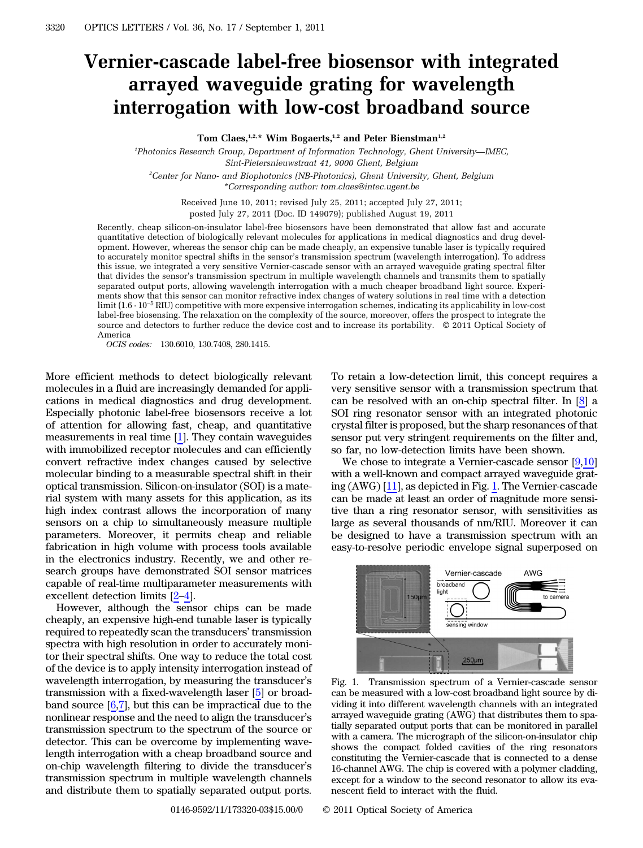## Vernier-cascade label-free biosensor with integrated arrayed waveguide grating for wavelength interrogation with low-cost broadband source

Tom Claes,<sup>1,2,\*</sup> Wim Bogaerts,<sup>1,2</sup> and Peter Bienstman<sup>1,2</sup>

1 Photonics Research Group, Department of Information Technology, Ghent University*—*IMEC, Sint-Pietersnieuwstraat 41, 9000 Ghent, Belgium 2 Center for Nano- and Biophotonics (NB-Photonics), Ghent University, Ghent, Belgium

\*Corresponding author: tom.claes@intec.ugent.be

Received June 10, 2011; revised July 25, 2011; accepted July 27, 2011; posted July 27, 2011 (Doc. ID 149079); published August 19, 2011

Recently, cheap silicon-on-insulator label-free biosensors have been demonstrated that allow fast and accurate quantitative detection of biologically relevant molecules for applications in medical diagnostics and drug development. However, whereas the sensor chip can be made cheaply, an expensive tunable laser is typically required to accurately monitor spectral shifts in the sensor's transmission spectrum (wavelength interrogation). To address this issue, we integrated a very sensitive Vernier-cascade sensor with an arrayed waveguide grating spectral filter that divides the sensor's transmission spectrum in multiple wavelength channels and transmits them to spatially separated output ports, allowing wavelength interrogation with a much cheaper broadband light source. Experiments show that this sensor can monitor refractive index changes of watery solutions in real time with a detection limit (1:6 · 10*<sup>−</sup>*<sup>5</sup> RIU) competitive with more expensive interrogation schemes, indicating its applicability in low-cost label-free biosensing. The relaxation on the complexity of the source, moreover, offers the prospect to integrate the source and detectors to further reduce the device cost and to increase its portability.  $© 2011$  Optical Society of America

OCIS codes: 130.6010, 130.7408, 280.1415.

More efficient methods to detect biologically relevant molecules in a fluid are increasingly demanded for applications in medical diagnostics and drug development. Especially photonic label-free biosensors receive a lot of attention for allowing fast, cheap, and quantitative measurements in real time [[1\]](#page-2-0). They contain waveguides with immobilized receptor molecules and can efficiently convert refractive index changes caused by selective molecular binding to a measurable spectral shift in their optical transmission. Silicon-on-insulator (SOI) is a material system with many assets for this application, as its high index contrast allows the incorporation of many sensors on a chip to simultaneously measure multiple parameters. Moreover, it permits cheap and reliable fabrication in high volume with process tools available in the electronics industry. Recently, we and other research groups have demonstrated SOI sensor matrices capable of real-time multiparameter measurements with excellent detection limits [\[2](#page-2-1)–[4](#page-2-2)].

However, although the sensor chips can be made cheaply, an expensive high-end tunable laser is typically required to repeatedly scan the transducers' transmission spectra with high resolution in order to accurately monitor their spectral shifts. One way to reduce the total cost of the device is to apply intensity interrogation instead of wavelength interrogation, by measuring the transducer'<sup>s</sup> transmission with a fixed-wavelength laser [\[5](#page-2-3)] or broadband source  $[6,7]$  $[6,7]$  $[6,7]$ , but this can be impractical due to the nonlinear response and the need to align the transducer'<sup>s</sup> transmission spectrum to the spectrum of the source or detector. This can be overcome by implementing wavelength interrogation with a cheap broadband source and on-chip wavelength filtering to divide the transducer'<sup>s</sup> transmission spectrum in multiple wavelength channels and distribute them to spatially separated output ports.

To retain a low-detection limit, this concept requires a very sensitive sensor with a transmission spectrum that can be resolved with an on-chip spectral filter. In [\[8](#page-2-6)] a SOI ring resonator sensor with an integrated photonic crystal filter is proposed, but the sharp resonances of that sensor put very stringent requirements on the filter and, so far, no low-detection limits have been shown.

We chose to integrate a Vernier-cascade sensor [\[9](#page-2-7),[10\]](#page-2-8) with a well-known and compact arrayed waveguide grating (AWG) [[11](#page-2-9)], as depicted in Fig. [1](#page-0-0). The Vernier-cascade can be made at least an order of magnitude more sensitive than a ring resonator sensor, with sensitivities as large as several thousands of nm/RIU. Moreover it can be designed to have a transmission spectrum with an easy-to-resolve periodic envelope signal superposed on

<span id="page-0-0"></span>

Fig. 1. Transmission spectrum of a Vernier-cascade sensor can be measured with a low-cost broadband light source by dividing it into different wavelength channels with an integrated arrayed waveguide grating (AWG) that distributes them to spatially separated output ports that can be monitored in parallel with a camera. The micrograph of the silicon-on-insulator chip shows the compact folded cavities of the ring resonators constituting the Vernier-cascade that is connected to a dense 16-channel AWG. The chip is covered with a polymer cladding, except for a window to the second resonator to allow its evanescent field to interact with the fluid.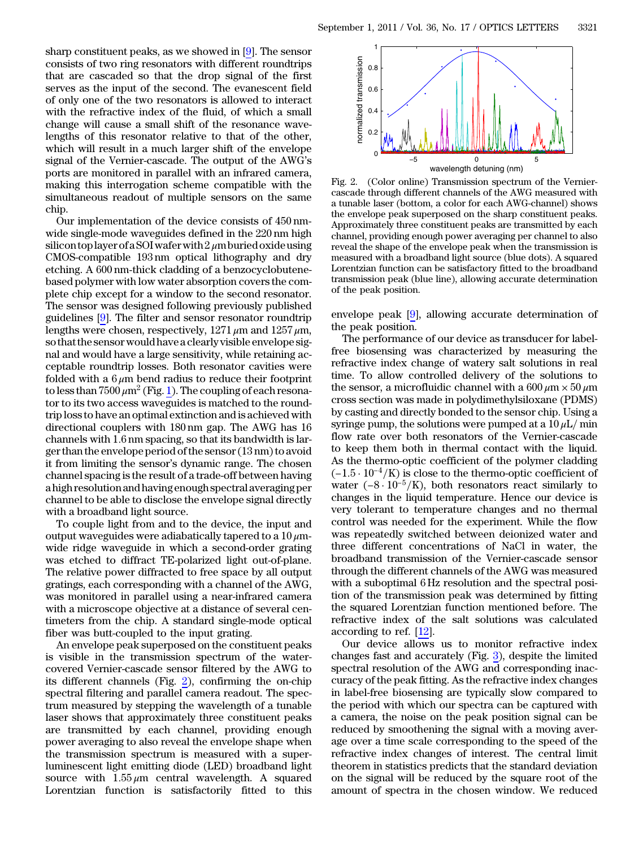sharp constituent peaks, as we showed in [\[9](#page-2-7)]. The sensor consists of two ring resonators with different roundtrips that are cascaded so that the drop signal of the first serves as the input of the second. The evanescent field of only one of the two resonators is allowed to interact with the refractive index of the fluid, of which a small change will cause a small shift of the resonance wavelengths of this resonator relative to that of the other, which will result in a much larger shift of the envelope signal of the Vernier-cascade. The output of the AWG'<sup>s</sup> ports are monitored in parallel with an infrared camera, making this interrogation scheme compatible with the simultaneous readout of multiple sensors on the same chip.

Our implementation of the device consists of <sup>450</sup> nm‐ wide single-mode waveguides defined in the 220 nm high silicon top layer of a SOI wafer with  $2 \mu m$  buried oxide using CMOS-compatible 193 nm optical lithography and dry wide single-mode waveguides defined in the 220 nm high<br>silicon top layer of a SOI wafer with 2  $\mu$ m buried oxide using<br>CMOS-compatible  $\,$  193 nm  $\,$  optical  $\,$  lithography  $\,$  and  $\,$  dry<br>etching. A 600 nm-thick c based polymer with low water absorption covers the complete chip except for a window to the second resonator. The sensor was designed following previously published guidelines [[9\]](#page-2-7). The filter and sensor resonator roundtrip lengths were chosen, respectively,  $1271 \mu m$  and  $1257 \mu m$ , so that the sensor would have a clearly visible envelope signal and would have a large sensitivity, while retaining acceptable roundtrip losses. Both resonator cavities were folded with a  $6 \mu m$  bend radius to reduce their footprint to less than  $7500 \,\mathrm{\mu m^2}$  (Fig. [1\)](#page-0-0). The coupling of each resonator to its two access waveguides is matched to the roundtrip loss to have an optimal extinction and is achieved with directional couplers with 180 nm gap. The AWG has 16 channels with 1:6 nm spacing, so that its bandwidth is larger than the envelope period of the sensor (13 nm) to avoid it from limiting the sensor's dynamic range. The chosen channel spacing is the result of a trade-off between having a high resolution and having enough spectral averaging per channel to be able to disclose the envelope signal directly with a broadband light source.

To couple light from and to the device, the input and output waveguides were adiabatically tapered to a  $10 \mu$ mwide ridge waveguide in which a second-order grating was etched to diffract TE-polarized light out-of-plane. The relative power diffracted to free space by all output gratings, each corresponding with a channel of the AWG, was monitored in parallel using a near-infrared camera with a microscope objective at a distance of several centimeters from the chip. A standard single-mode optical fiber was butt-coupled to the input grating.

An envelope peak superposed on the constituent peaks is visible in the transmission spectrum of the watercovered Vernier-cascade sensor filtered by the AWG to its different channels (Fig. [2](#page-1-0)), confirming the on-chip spectral filtering and parallel camera readout. The spectrum measured by stepping the wavelength of a tunable laser shows that approximately three constituent peaks are transmitted by each channel, providing enough power averaging to also reveal the envelope shape when the transmission spectrum is measured with a superluminescent light emitting diode (LED) broadband light source with  $1.55 \mu m$  central wavelength. A squared Lorentzian function is satisfactorily fitted to this

<span id="page-1-0"></span>

Fig. 2. (Color online) Transmission spectrum of the Verniercascade through different channels of the AWG measured with a tunable laser (bottom, a color for each AWG-channel) shows the envelope peak superposed on the sharp constituent peaks. Approximately three constituent peaks are transmitted by each channel, providing enough power averaging per channel to also reveal the shape of the envelope peak when the transmission is measured with a broadband light source (blue dots). A squared Lorentzian function can be satisfactory fitted to the broadband transmission peak (blue line), allowing accurate determination of the peak position.

envelope peak [[9\]](#page-2-7), allowing accurate determination of the peak position.

The performance of our device as transducer for labelfree biosensing was characterized by measuring the refractive index change of watery salt solutions in real time. To allow controlled delivery of the solutions to the sensor, a microfluidic channel with a  $600 \mu m \times 50 \mu m$ cross section was made in polydimethylsiloxane (PDMS) by casting and directly bonded to the sensor chip. Using a syringe pump, the solutions were pumped at a  $10 \mu L/m$ in flow rate over both resonators of the Vernier-cascade to keep them both in thermal contact with the liquid. As the thermo-optic coefficient of the polymer cladding flow rate over both resonators of the Vernier-cascade<br>to keep them both in thermal contact with the liquid.<br>As the thermo-optic coefficient of the polymer cladding<br> $(-1.5 \cdot 10^{-4}/K)$  is close to the thermo-optic coefficient  $(-1.5 \cdot 10^{-4}/\text{K})$  is close to the thermo-optic coefficient of water  $(-8 \cdot 10^{-5}/\text{K})$ , both resonators react similarly to changes in the liquid temperature. Hence our device is very tolerant to temperature changes and no thermal control was needed for the experiment. While the flow was repeatedly switched between deionized water and three different concentrations of NaCl in water, the broadband transmission of the Vernier-cascade sensor through the different channels of the AWG was measured with a suboptimal 6 Hz resolution and the spectral position of the transmission peak was determined by fitting the squared Lorentzian function mentioned before. The refractive index of the salt solutions was calculated according to ref. [\[12](#page-2-10)].

Our device allows us to monitor refractive index changes fast and accurately (Fig. [3](#page-2-11)), despite the limited spectral resolution of the AWG and corresponding inaccuracy of the peak fitting. As the refractive index changes in label-free biosensing are typically slow compared to the period with which our spectra can be captured with a camera, the noise on the peak position signal can be reduced by smoothening the signal with a moving average over a time scale corresponding to the speed of the refractive index changes of interest. The central limit theorem in statistics predicts that the standard deviation on the signal will be reduced by the square root of the amount of spectra in the chosen window. We reduced